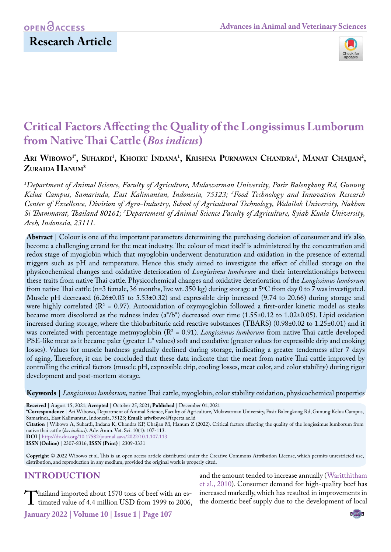## **OPEN**<sub>d</sub>

## **Research Article**



# **Critical Factors Affecting the Quality of the Longissimus Lumborum from Native Thai Cattle (***Bos indicus***)**

### Ari Wibowo<sup>1</sup>', Suhardi<sup>1</sup>, Khoiru Indana<sup>1</sup>, Krishna Purnawan Chandra<sup>1</sup>, Manat Chaijan<sup>2</sup>, **Zuraida Hanum3**

*1 Department of Animal Science, Faculty of Agriculture, Mulawarman University, Pasir Balengkong Rd, Gunung Kelua Campus, Samarinda, East Kalimantan, Indonesia, 75123; 2 Food Technology and Innovation Research Center of Excellence, Division of Agro-Industry, School of Agricultural Technology, Walailak University, Nakhon Si Thammarat, Thailand 80161; 3 Departement of Animal Science Faculty of Agriculture, Syiah Kuala University, Aceh, Indonesia, 23111.*

**Abstract** | Colour is one of the important parameters determining the purchasing decision of consumer and it's also become a challenging errand for the meat industry. The colour of meat itself is administered by the concentration and redox stage of myoglobin which that myoglobin underwent denaturation and oxidation in the presence of external triggers such as pH and temperature. Hence this study aimed to investigate the effect of chilled storage on the physicochemical changes and oxidative deterioration of *Longissimus lumborum* and their interrelationships between these traits from native Thai cattle. Physicochemical changes and oxidative deterioration of the *Longissimus lumborum*  from native Thai cattle (n=3 female, 36 months, live wt. 350 kg) during storage at 5ºC from day 0 to 7 was investigated. Muscle pH decreased (6.26±0.05 to 5.53±0.32) and expressible drip increased (9.74 to 20.66) during storage and were highly correlated ( $R^2$  = 0.97). Autooxidation of oxymyoglobin followed a first-order kinetic model as steaks became more discolored as the redness index (a\*/b\*) decreased over time (1.55±0.12 to 1.02±0.05). Lipid oxidation increased during storage, where the thiobarbituric acid reactive substances (TBARS) (0.98±0.02 to 1.25±0.01) and it was correlated with percentage metmyoglobin (R<sup>2</sup> = 0.91). *Longissimus lumborum* from native Thai cattle developed PSE-like meat as it became paler (greater L\* values) soft and exudative (greater values for expressible drip and cooking losses). Values for muscle hardness gradually declined during storage, indicating a greater tenderness after 7 days of aging. Therefore, it can be concluded that these data indicate that the meat from native Thai cattle improved by controlling the critical factors (muscle pH, expressible drip, cooling losses, meat color, and color stability) during rigor development and post-mortem storage.

**Keywords** | *Longissimus lumborum,* native Thai cattle, myoglobin, color stability oxidation, physicochemical properties

**Received** | August 15, 2021; **Accepted** | October 25, 2021; **Published** | December 01, 2021

**\*Correspondence** | Ari Wibowo, Department of Animal Science, Faculty of Agriculture, Mulawarman University, Pasir Balengkong Rd, Gunung Kelua Campus, Samarinda, East Kalimantan, Indonesia, 75123; **Email:** ariwibowo@faperta.ac.id

**Citation** | Wibowo A, Suhardi, Indana K, Chandra KP, Chaijan M, Hanum Z (2022). Critical factors affecting the quality of the longissimus lumborum from native thai cattle (*bos indicus*). Adv. Anim. Vet. Sci. 10(1): 107-113.

**DOI** | [http://dx.doi.org/10.17582/journal.aavs/2022](http://dx.doi.org/10.17582/journal.aavs/2022/10.1.107.113)/10.1.107.113

**ISSN (Online)** | 2307-8316; **ISSN (Print)** | 2309-3331

**Copyright** © 2022 Wibowo et al. This is an open access article distributed under the Creative Commons Attribution License, which permits unrestricted use, distribution, and reproduction in any medium, provided the original work is properly cited.

### **INTRODUCTION**

Thailand imported about 1570 tons of beef with an es-<br>timated value of 4.4 million USD from 1999 to 2006,

and the amount tended to increase annually ([Waritthitham](#page-6-0) [et al., 2010\)](#page-6-0). Consumer demand for high-quality beef has increased markedly, which has resulted in improvements in the domestic beef supply due to the development of local

US **January 2022 | Volume 10 | Issue 1 | Page 107**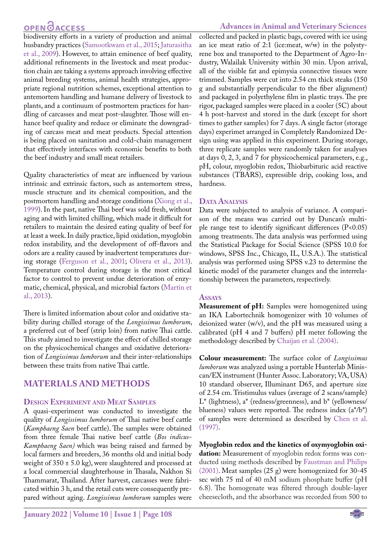## **OPEN**<sub>d</sub>

biodiversity efforts in a variety of production and animal husbandry practices [\(Samootkwam et al., 2015](#page-6-1); [Jaturasitha](#page-5-0)  [et al., 2009\)](#page-5-0). However, to attain eminence of beef quality, additional refinements in the livestock and meat production chain are taking a systems approach involving effective animal breeding systems, animal health strategies, appropriate regional nutrition schemes, exceptional attention to antemortem handling and humane delivery of livestock to plants, and a continuum of postmortem practices for handling of carcasses and meat post-slaughter. Those will enhance beef quality and reduce or eliminate the downgrading of carcass meat and meat products. Special attention is being placed on sanitation and cold-chain management that effectively interfaces with economic benefits to both the beef industry and small meat retailers.

Quality characteristics of meat are influenced by various intrinsic and extrinsic factors, such as antemortem stress, muscle structure and its chemical composition, and the postmortem handling and storage conditions [\(Xiong et al.,](#page-6-2)  [1999](#page-6-2)). In the past, native Thai beef was sold fresh, without aging and with limited chilling, which made it difficult for retailers to maintain the desired eating quality of beef for at least a week. In daily practice, lipid oxidation, myoglobin redox instability, and the development of off-flavors and odors are a reality caused by inadvertent temperatures during storage [\(Ferguson et al., 2001;](#page-5-1) Olivera et al., 2013). Temperature control during storage is the most critical factor to control to prevent undue deterioration of enzymatic, chemical, physical, and microbial factors [\(Martin et](#page-5-2)  [al., 2013](#page-5-2)).

There is limited information about color and oxidative stability during chilled storage of the *Longissimus lumborum*, a preferred cut of beef (strip loin) from native Thai cattle. This study aimed to investigate the effect of chilled storage on the physicochemical changes and oxidative deterioration of *Longissimus lumborum* and their inter-relationships between these traits from native Thai cattle.

### **MATERIALS AND METHODS**

### **Design Experiment and Meat Samples**

A quasi-experiment was conducted to investigate the quality of *Longissimus lumborum* of Thai native beef cattle (*Kamphaeng Saen* beef cattle). The samples were obtained from three female Thai native beef cattle (*Bos indicus-Kamphaeng Saen)* which was being raised and farmed by local farmers and breeders, 36 months old and initial body weight of  $350 \pm 5.0$  kg), were slaughtered and processed at a local commercial slaughterhouse in Thasala, Nakhon Si Thammarat, Thailand. After harvest, carcasses were fabricated within 3 h, and the retail cuts were consequently prepared without aging. *Longissimus lumborum* samples were

### **Advances in Animal and Veterinary Sciences**

collected and packed in plastic bags, covered with ice using an ice meat ratio of 2:1 (ice:meat, w/w) in the polystyrene box and transported to the Department of Agro-Industry, Walailak University within 30 min. Upon arrival, all of the visible fat and epimysia connective tissues were trimmed. Samples were cut into 2.54 cm thick steaks (150 g and substantially perpendicular to the fiber alignment) and packaged in polyethylene film in plastic trays. The pre rigor, packaged samples were placed in a cooler (5C) about 4 h post-harvest and stored in the dark (except for short times to gather samples) for 7 days. A single factor (storage days) experimet arranged in Completely Randomized Design using was applied in this experiment. During storage, three replicate samples were randomly taken for analyses at days 0, 2, 3, and 7 for physicochemical parameters, e.g., pH, colour, myoglobin redox, Thiobarbituric acid reactive substances (TBARS), expressible drip, cooking loss, and hardness.

### DATA **ANALYSIS**

Data were subjected to analysis of variance. A comparison of the means was carried out by Duncan's multiple range test to identify significant differences (P<0.05) among treatments. The data analysis was performed using the Statistical Package for Social Science (SPSS 10.0 for windows, SPSS Inc., Chicago, IL, U.S.A.). The statistical analysis was performed using SPSS v.23 to determine the kinetic model of the parameter changes and the interrelationship between the parameters, respectively.

#### **Assays**

**Measurement of pH:** Samples were homogenized using an IKA Labortechnik homogenizer with 10 volumes of deionized water (w/v), and the pH was measured using a calibrated (pH 4 and 7 buffers) pH meter following the methodology described by [Chaijan et al. \(2004\)](#page-5-3).

**Colour measurement:** The surface color of *Longissimus lumborum* was analyzed using a portable Hunterlab Miniscan/EX instrument (Hunter Assoc. Laboratory; VA, USA) 10 standard observer, Illuminant D65, and aperture size of 2.54 cm. Tristimulus values (average of 2 scans/sample) L\* (lightness), a\* (redness/greenness), and b\* (yellowness/ blueness) values were reported. The redness index  $(a^*/b^*)$ of samples were determined as described by Chen et al. (1997).

**Myoglobin redox and the kinetics of oxymyoglobin oxidation:** Measurement of myoglobin redox forms was conducted using methods described by [Faustman and Philips](#page-5-4) [\(2001\).](#page-5-4) Meat samples (25 g) were homogenized for 30-45 sec with 75 ml of 40 mM sodium phosphate buffer (pH 6.8). The homogenate was filtered through double-layer cheesecloth, and the absorbance was recorded from 500 to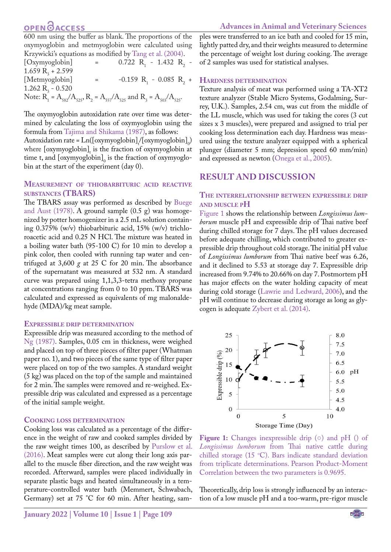## **OPEN**OACCESS

600 nm using the buffer as blank. The proportions of the oxymyoglobin and metmyoglobin were calculated using Krzywicki's equations as modified by [Tang et al. \(2004\)](#page-6-3).  $[Oxymyoglobin] =$  $-1.432$  R<sub>2</sub>  $-$ 

 $1.659 R_3 + 2.599$ [Metmyoglobin] =  $-$  0.085 R<sub>2</sub> + 1.262  $R_3$  - 0.520 Note:  $R_1 = A_{582}/A_{525}$ ,  $R_2 = A_{557}/A_{525}$  and  $R_3 = A_{503}/A_{525}$ .

The oxymyoglobin autoxidation rate over time was determined by calculating the loss of oxymyoglobin using the formula from [Tajima and Shikama \(1987\),](#page-6-4) as follows: Autoxidation rate =  $Ln([oxymyoglobin]_{t}/[oxymyoglobin]_{0})$ where  $[oxymyoglobin]_t$  is the fraction of oxymyoglobin at time t, and  $\left[$  oxymyoglobin $\right]_0$  is the fraction of oxymyoglobin at the start of the experiment (day 0).

### **Measurement of thiobarbituric acid reactive substances (TBARS)**

The TBARS assay was performed as described by [Buege](#page-5-5)  [and Aust \(1978\).](#page-5-5) A ground sample (0.5 g) was homogenized by potter homogenizer in a 2.5 mL solution containing 0.375% (w/v) thiobarbituric acid, 15% (w/v) trichloroacetic acid and 0.25 N HCl. The mixture was heated in a boiling water bath (95-100 C) for 10 min to develop a pink color, then cooled with running tap water and centrifuged at 3,600 *g* at 25 C for 20 min. The absorbance of the supernatant was measured at 532 nm. A standard curve was prepared using 1,1,3,3-tetra methoxy propane at concentrations ranging from 0 to 10 ppm. TBARS was calculated and expressed as equivalents of mg malonaldehyde (MDA)/kg meat sample.

#### **Expressible drip determination**

Expressible drip was measured according to the method of [Ng \(1987\).](#page-5-6) Samples, 0.05 cm in thickness, were weighed and placed on top of three pieces of filter paper (Whatman paper no. 1), and two pieces of the same type of filter paper were placed on top of the two samples. A standard weight (5 kg) was placed on the top of the sample and maintained for 2 min. The samples were removed and re-weighed. Expressible drip was calculated and expressed as a percentage of the initial sample weight.

#### **Cooking loss determination**

Cooking loss was calculated as a percentage of the difference in the weight of raw and cooked samples divided by the raw weight times 100, as described by [Purslow et al.](#page-6-5)  [\(2016\).](#page-6-5) Meat samples were cut along their long axis parallel to the muscle fiber direction, and the raw weight was recorded. Afterward, samples were placed individually in separate plastic bags and heated simultaneously in a temperature-controlled water bath (Memmert, Schwabach, Germany) set at 75 °C for 60 min. After heating, samples were transferred to an ice bath and cooled for 15 min, lightly patted dry, and their weights measured to determine the percentage of weight lost during cooking. The average of 2 samples was used for statistical analyses.

#### **Hardness determination**

Texture analysis of meat was performed using a TA-XT2 texture analyzer (Stable Micro Systems, Godalming, Surrey, U.K.). Samples, 2.54 cm, was cut from the middle of the LL muscle, which was used for taking the cores (3 cut sizes x 3 muscles), were prepared and assigned to trial per cooking loss determination each day. Hardness was measured using the texture analyzer equipped with a spherical plunger (diameter 5 mm; depression speed 60 mm/min) and expressed as newton [\(Onega et al., 2005\)](#page-5-7).

### **RESULT AND DISCUSSION**

### **The interrelationship between expressible drip and muscle pH**

[Figure 1](#page-2-0) shows the relationship between *Longissimus lumborum* muscle pH and expressible drip of Thai native beef during chilled storage for 7 days. The pH values decreased before adequate chilling, which contributed to greater expressible drip throughout cold storage. The initial pH value of *Longissimus lumborum* from Thai native beef was 6.26, and it declined to 5.53 at storage day 7. Expressible drip increased from 9.74% to 20.66% on day 7. Postmortem pH has major effects on the water holding capacity of meat during cold storage [\(Lawrie and Ledward, 2006](#page-5-8)), and the pH will continue to decrease during storage as long as glycogen is adequate [Zybert et al. \(2014\).](#page-6-6)



<span id="page-2-0"></span>**Figure 1:** Changes inexpressible drip (o) and pH () of *Longissimus lumborum* from Thai native cattle during chilled storage (15  $\degree$ C). Bars indicate standard deviation from triplicate determinations. Pearson Product-Moment Correlation between the two parameters is 0.9695.

Theoretically, drip loss is strongly influenced by an interaction of a low muscle pH and a too-warm, pre-rigor muscle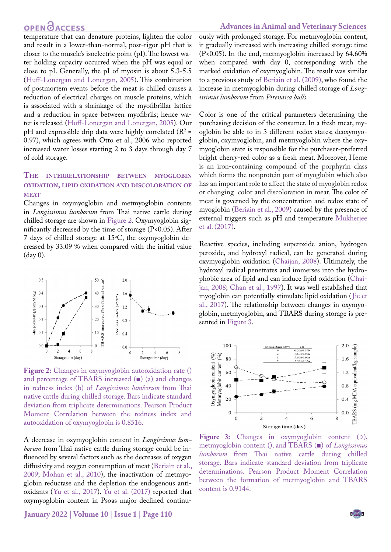## **OPEN GACCESS**

#### **Advances in Animal and Veterinary Sciences**

temperature that can denature proteins, lighten the color and result in a lower-than-normal, post-rigor pH that is closer to the muscle's isoelectric point (pI). The lowest water holding capacity occurred when the pH was equal or close to pI. Generally, the pI of myosin is about 5.3-5.5 ([Huff-Lonergan and Lonergan, 2005](#page-5-9)). This combination of postmortem events before the meat is chilled causes a reduction of electrical charges on muscle proteins, which is associated with a shrinkage of the myofibrillar lattice and a reduction in space between myofibrils; hence water is released ([Huff-Lonergan and Lonergan, 2005](#page-5-9)). Our  $pH$  and expressible drip data were highly correlated ( $R^2 =$ 0.97), which agrees with Otto et al., 2006 who reported increased water losses starting 2 to 3 days through day 7 of cold storage.

### **The interrelationship between myoglobin oxidation, lipid oxidation and discoloration of MEAT**

Changes in oxymyoglobin and metmyoglobin contents in *Longissimus lumborum* from Thai native cattle during chilled storage are shown in [Figure 2.](#page-3-0) Oxymyoglobin significantly decreased by the time of storage (P<0.05). After  $7$  days of chilled storage at  $15^{\circ}$ C, the oxymyoglobin decreased by 33.09 % when compared with the initial value (day 0).



<span id="page-3-0"></span>**Figure 2:** Changes in oxymyoglobin autooxidation rate () and percentage of TBARS increased (■) (a) and changes in redness index (b) of *Longissimus lumborum* from Thai native cattle during chilled storage. Bars indicate standard deviation from triplicate determinations. Pearson Product Moment Correlation between the redness index and autooxidation of oxymyoglobin is 0.8516.

A decrease in oxymyoglobin content in *Longissimus lumborum* from Thai native cattle during storage could be influenced by several factors such as the decreases of oxygen diffusivity and oxygen consumption of meat (Beriain et al., 2009; [Mohan et al., 2010](#page-5-10)), the inactivation of metmyoglobin reductase and the depletion the endogenous antioxidants ([Yu et al., 2017](#page-6-7)). [Yu et al. \(2017\)](#page-6-7) reported that oxymyoglobin content in Psoas major declined continu-

US **January 2022 | Volume 10 | Issue 1 | Page 110**

ously with prolonged storage. For metmyoglobin content, it gradually increased with increasing chilled storage time (P<0.05). In the end, metmyoglobin increased by 64.60% when compared with day 0, corresponding with the marked oxidation of oxymyoglobin. The result was similar to a previous study of Beriain et al. (2009), who found the increase in metmyoglobin during chilled storage of *Longissimus lumborum* from *Pirenaica bulls*.

Color is one of the critical parameters determining the purchasing decision of the consumer. In a fresh meat, myoglobin be able to in 3 different redox states; deoxymyoglobin, oxymyoglobin, and metmyoglobin where the oxymyoglobin state is responsible for the purchaser-preferred bright cherry-red color as a fresh meat. Moreover, Heme is an iron-containing compound of the porphyrin class which forms the nonprotein part of myoglobin which also has an important role to affect the state of myoglobin redox or changing color and discoloration in meat. The color of meat is governed by the concentration and redox state of myoglobin (Beriain et al., 2009) caused by the presence of external triggers such as pH and temperature [Mukherjee](#page-5-11) [et al. \(2017\).](#page-5-11)

Reactive species, including superoxide anion, hydrogen peroxide, and hydroxyl radical, can be generated during oxymyoglobin oxidation [\(Chaijan, 2008\)](#page-5-12). Ultimately, the hydroxyl radical penetrates and immerses into the hydrophobic area of lipid and can induce lipid oxidation [\(Chai](#page-5-12)[jan, 2008](#page-5-12); [Chan et al., 1997](#page-5-13)). It was well established that myoglobin can potentially stimulate lipid oxidation ([Jie et](#page-5-14) [al., 2017\)](#page-5-14). The relationship between changes in oxymyoglobin, metmyoglobin, and TBARS during storage is presented i[n Figure 3](#page-3-1).



<span id="page-3-1"></span>**Figure 3:** Changes in oxymyoglobin content (○), metmyoglobin content (), and TBARS (■) of *Longissimus lumborum* from Thai native cattle during chilled storage. Bars indicate standard deviation from triplicate determinations. Pearson Product Moment Correlation between the formation of metmyoglobin and TBARS content is 0.9144.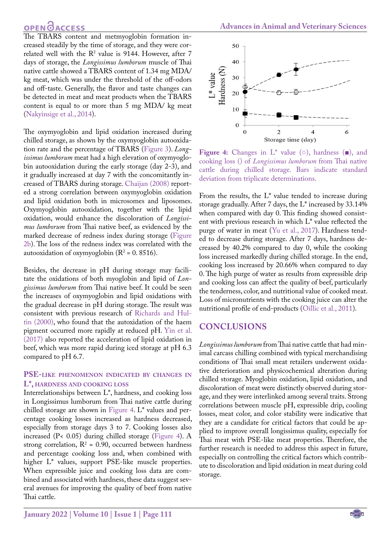## **OPEN GACCESS**

The TBARS content and metmyoglobin formation increased steadily by the time of storage, and they were correlated well with the  $R^2$  value is 9144. However, after 7 days of storage, the *Longissimus lumborum* muscle of Thai native cattle showed a TBARS content of 1.34 mg MDA/ kg meat, which was under the threshold of the off-odors and off-taste. Generally, the flavor and taste changes can be detected in meat and meat products when the TBARS content is equal to or more than 5 mg MDA/ kg meat ([Nakyinsige et al., 2014\)](#page-5-15).

The oxymyoglobin and lipid oxidation increased during chilled storage, as shown by the oxymyoglobin autooxidation rate and the percentage of TBARS [\(Figure 3\)](#page-3-1). *Longissimus lumborum* meat had a high elevation of oxymyoglobin autooxidation during the early storage (day 2-3), and it gradually increased at day 7 with the concomitantly increased of TBARS during storage. [Chaijan \(2008\)](#page-5-12) reported a strong correlation between oxymyoglobin oxidation and lipid oxidation both in microsomes and liposomes. Oxymyoglobin autooxidation, together with the lipid oxidation, would enhance the discoloration of *Longissimus lumborum* from Thai native beef, as evidenced by the marked decrease of redness index during storage [\(Figure](#page-3-0)  [2b](#page-3-0)). The loss of the redness index was correlated with the autooxidation of oxymyoglobin ( $R^2$  = 0.8516).

Besides, the decrease in pH during storage may facilitate the oxidations of both myoglobin and lipid of *Longissimus lumborum* from Thai native beef. It could be seen the increases of oxymyoglobin and lipid oxidations with the gradual decrease in pH during storage. The result was consistent with previous research of [Richards and Hul](#page-6-8)[tin \(2000\)](#page-6-8), who found that the autoxidation of the haem pigment occurred more rapidly at reduced pH. [Yin et al.](#page-6-9)  [\(2017\)](#page-6-9) also reported the acceleration of lipid oxidation in beef, which was more rapid during iced storage at pH 6.3 compared to pH 6.7.

#### **PSE-like phenomenon indicated by changes in L\*, hardness and cooking loss**

Interrelationships between L\*, hardness, and cooking loss in Longissimus lumborum from Thai native cattle during chilled storage are shown in [Figure 4](#page-4-0). L\* values and percentage cooking losses increased as hardness decreased, especially from storage days 3 to 7. Cooking losses also increased (P< 0.05) during chilled storage [\(Figure 4\)](#page-4-0). A strong correlation,  $R^2 = 0.90$ , occurred between hardness and percentage cooking loss and, when combined with higher L\* values, support PSE-like muscle properties. When expressible juice and cooking loss data are combined and associated with hardness, these data suggest several avenues for improving the quality of beef from native Thai cattle.



<span id="page-4-0"></span>**Figure 4:** Changes in L\* value (○), hardness (■), and cooking loss () of *Longissimus lumborum* from Thai native cattle during chilled storage. Bars indicate standard deviation from triplicate determinations.

From the results, the L\* value tended to increase during storage gradually. After 7 days, the L\* increased by 33.14% when compared with day 0. This finding showed consistent with previous research in which L\* value reflected the purge of water in meat ([Yu et al., 2017](#page-6-7)). Hardness tended to decrease during storage. After 7 days, hardness decreased by 40.2% compared to day 0, while the cooking loss increased markedly during chilled storage. In the end, cooking loss increased by 20.66% when compared to day 0. The high purge of water as results from expressible drip and cooking loss can affect the quality of beef, particularly the tenderness, color, and nutritional value of cooked meat. Loss of micronutrients with the cooking juice can alter the nutritional profile of end-products ([Oillic et al., 2011\)](#page-5-16).

### **CONCLUSIONS**

*Longissimus lumborum* from Thai native cattle that had minimal carcass chilling combined with typical merchandising conditions of Thai small meat retailers underwent oxidative deterioration and physicochemical alteration during chilled storage. Myoglobin oxidation, lipid oxidation, and discoloration of meat were distinctly observed during storage, and they were interlinked among several traits. Strong correlations between muscle pH, expressible drip, cooling losses, meat color, and color stability were indicative that they are a candidate for critical factors that could be applied to improve overall longissimus quality, especially for Thai meat with PSE-like meat properties. Therefore, the further research is needed to address this aspect in future, especially on controlling the critical factors which contribute to discoloration and lipid oxidation in meat during cold storage.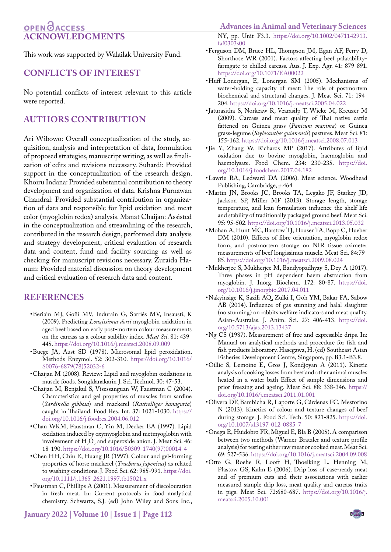## **OPEN**OACCESS **Acknowledgments**

This work was supported by Walailak University Fund.

### **Conflicts of interest**

No potential conflicts of interest relevant to this article were reported.

### **authors contribution**

Ari Wibowo: Overall conceptualization of the study, acquisition, analysis and interpretation of data, formulation of proposed strategies, manuscript writing, as well as finalization of edits and revisions necessary. Suhardi: Provided support in the conceptualization of the research design. Khoiru Indana: Provided substantial contribution to theory development and organization of data. Krishna Purnawan Chandral: Provided substantial contribution in organization of data and responsible for lipid oxidation and meat color (myoglobin redox) analysis. Manat Chaijan: Assisted in the conceptualization and streamlining of the research, contributed in the research design, performed data analysis and strategy development, critical evaluation of research data and content, fund and facility sourcing as well as checking for manuscript revisions necessary. Zuraida Hanum: Provided material discussion on theory development and critical evaluation of research data and content.

### **REFERENCES**

- • Beriain MJ, Goñi MV, Indurain G, Sarriés MV, Insausti, K (2009). Predicting *Longissimus dorsi* myoglobin oxidation in aged beef based on early post-mortem colour measurements on the carcass as a colour stability index. *Meat Sci*. 81: 439- 445. [https://doi.org/10.1016/j.meatsci.2008.09.009](https://doi.org/10.1016/j.meatsci.2008.09.009 )
- <span id="page-5-5"></span>• Buege JA, Aust SD (1978). Microsomal lipid peroxidation. Methods Enzymol. 52: 302-310. [https://doi.org/10.1016/](https://doi.org/10.1016/S0076-6879(78)52032-6 ) [S0076-6879\(78\)52032-6](https://doi.org/10.1016/S0076-6879(78)52032-6 )
- <span id="page-5-12"></span>• Chaijan M (2008). Review: Lipid and myoglobin oxidations in muscle foods. Songklanakarin J. Sci. Technol. 30: 47-53.
- <span id="page-5-3"></span>• Chaijan M, Benjakul S, Visessanguan W, Faustman C (2004). Characteristics and gel properties of muscles from sardine (*Sardinella gibbosa*) and mackerel (*Rastrelliger kanagurta*) caught in Thailand. Food Res. Int. 37: 1021-1030. [https://](https://doi.org/10.1016/j.foodres.2004.06.012 ) [doi.org/10.1016/j.foodres.2004.06.012](https://doi.org/10.1016/j.foodres.2004.06.012 )
- <span id="page-5-13"></span>• Chan WKM, Faustman C, Yin M, Decker EA (1997). Lipid oxidation induced by oxymyoglobin and metmyoglobin with involvement of  $H_2O_2$  and superoxide anion. J. Meat Sci. 46: 18-190. [https://doi.org/10.1016/S0309-1740\(97\)00014-4](https://doi.org/10.1016/S0309-1740(97)00014-4 )
- Chen HH, Chiu E, Huang JR (1997). Colour and gel-forming properties of horse mackerel (*Trachurus japonicus*) as related to washing conditions. J. Food Sci. 62: 985-991. [https://doi.](https://doi.org/10.1111/j.1365-2621.1997.tb15021.x ) [org/10.1111/j.1365-2621.1997.tb15021.x](https://doi.org/10.1111/j.1365-2621.1997.tb15021.x )
- <span id="page-5-4"></span>• Faustman C, Phillips A (2001). Measurement of discolouration in fresh meat. In: Current protocols in food analytical chemistry. Schwartz, S.J. (ed) John Wiley and Sons Inc.,

NY, pp. Unit F3.3. [https://doi.org/10.1002/0471142913.](https://doi.org/10.1002/0471142913.faf0303s00 ) [faf0303s00](https://doi.org/10.1002/0471142913.faf0303s00 )

- <span id="page-5-1"></span>• Ferguson DM, Bruce HL, Thompson JM, Egan AF, Perry D, Shorthose WR (2001). Factors affecting beef palatabilityfarmgate to chilled carcass. Aus. J. Exp. Agr. 41: 879-891. [https://doi.org/10.1071/EA00022](https://doi.org/10.1071/EA00022 )
- <span id="page-5-9"></span>• Huff-Lonergan, E, Lonergan SM (2005). Mechanisms of water-holding capacity of meat: The role of postmortem biochemical and structural changes. J. Meat Sci. 71: 194- 204. [https://doi.org/10.1016/j.meatsci.2005.04.022](https://doi.org/10.1016/j.meatsci.2005.04.022 )
- <span id="page-5-0"></span>• Jaturasitha S, Norkeaw R, Vearasilp T, Wicke M, Kreuzer M (2009). Carcass and meat quality of Thai native cattle fattened on Guinea grass (*Panicum maxima*) or Guinea grass-legume (*Stylosanthes guianensis*) pastures. Meat Sci. 81: 155-162.<https://doi.org/10.1016/j.meatsci.2008.07.013>
- <span id="page-5-14"></span>• Jie Y, Zhang W, Richards MP (2017). Attributes of lipid oxidation due to bovine myoglobin, haemoglobin and haemolysate. Food Chem. 234: 230-235. [https://doi.](https://doi.org/10.1016/j.foodchem.2017.04.182 ) [org/10.1016/j.foodchem.2017.04.182](https://doi.org/10.1016/j.foodchem.2017.04.182 )
- <span id="page-5-8"></span>• Lawrie RA, Ledward DA (2006). Meat science. Woodhead Publishing, Cambridge, p.464
- <span id="page-5-2"></span>• Martin JN, Brooks JC, Brooks TA, Legako JF, Starkey JD, Jackson SP, Miller MF (2013). Storage length, storage temperature, and lean formulation influence the shelf-life and stability of traditionally packaged ground beef. Meat Sci. 95: 95-502.<https://doi.org/10.1016/j.meatsci.2013.05.032>
- <span id="page-5-10"></span>• Mohan A, Hunt MC, Barstow TJ, Houser TA, Bopp C, Hueber DM (2010). Effects of fibre orientation, myoglobin redox form, and postmortem storage on NIR tissue oximeter measurements of beef longissimus muscle. Meat Sci. 84:79- 85. [https://doi.org/10.1016/j.meatsci.2009.08.024](https://doi.org/10.1016/j.meatsci.2009.08.024 )
- <span id="page-5-11"></span>• Mukherjee S, Mukherjee M, Bandyopadhyay S, Dey A (2017). Three phases in pH dependent haem abstraction from myoglobin. J. Inorg. Biochem. 172: 80-87. [https://doi.](https://doi.org/10.1016/j.jinorgbio.2017.04.011 ) [org/10.1016/j.jinorgbio.2017.04.011](https://doi.org/10.1016/j.jinorgbio.2017.04.011 )
- <span id="page-5-15"></span>• Nakyinsige K, Sazili AQ, Zulki I, Goh YM, Bakar FA, Sabow AB (2014). Influence of gas stunning and halal slaughter (no stunning) on rabbits welfare indicators and meat quality. Asian-Australas. J. Anim. Sci. 27: 406-413. [https://doi.](https://doi.org/10.5713/ajas.2013.13437 ) [org/10.5713/ajas.2013.13437](https://doi.org/10.5713/ajas.2013.13437 )
- <span id="page-5-6"></span>• Ng CS (1987). Measurement of free and expressible drips. In: Manual on analytical methods and procedure for fish and fish products laboratory. Hasegawa, H. (ed) Southeast Asian Fisheries Development Centre, Singapore, pp. B3.1-B3.8.
- <span id="page-5-16"></span>• Oillic S, Lemoine E, Gros J, Kondjoyan A (2011). Kinetic analysis of cooking losses from beef and other animal muscles heated in a water bath-Effect of sample dimensions and prior freezing and ageing. Meat Sci. 88: 338-346. [https://](https://doi.org/10.1016/j.meatsci.2011.01.001) [doi.org/10.1016/j.meatsci.2011.01.001](https://doi.org/10.1016/j.meatsci.2011.01.001)
- • Olivera DF, Bambicha R, Laporte G, Cárdenas FC, Mestorino N (2013). Kinetics of colour and texture changes of beef during storage. J. Food Sci. Tech. 50: 821-825. [https://doi.](https://doi.org/10.1007/s13197-012-0885-7 ) [org/10.1007/s13197-012-0885-7](https://doi.org/10.1007/s13197-012-0885-7 )
- <span id="page-5-7"></span>• Onega E, Huidobro FR, Miguel E, Bla B (2005). A comparison between two methods (Warner-Bratzler and texture profile analysis) for testing either raw meat or cooked meat. Meat Sci. 69: 527-536. [https://doi.org/10.1016/j.meatsci.2004.09.008](https://doi.org/10.1016/j.meatsci.2004.09.008 )
- • Otto G, Roehe R, Looft H, Thoelking L, Henning M, Plastow GS, Kalm E (2006). Drip loss of case-ready meat and of premium cuts and their associations with earlier measured sample drip loss, meat quality and carcass traits in pigs. Meat Sci. 72:680-687. [https://doi.org/10.1016/j.](https://doi.org/10.1016/j.meatsci.2005.10.001 ) [meatsci.2005.10.001](https://doi.org/10.1016/j.meatsci.2005.10.001 )